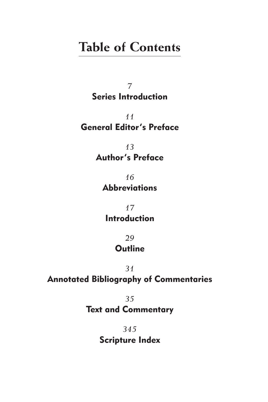# **Table of Contents**

*7* Series Introduction

*11* General Editor's Preface

> *13* Author's Preface

*16* Abbreviations

*17* Introduction

> *29* **Outline**

### *31*

Annotated Bibliography of Commentaries

*35* Text and Commentary

> *345* Scripture Index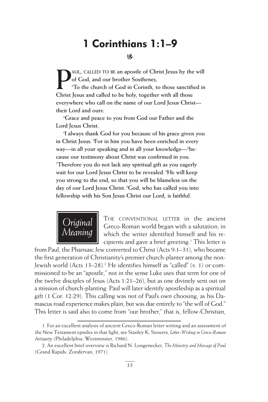#### !

**PAUL, CALLED TO BE an apostle of Christ Jesus by the will of God, and our brother Sosthenes, 2 To the church of God in Corinth, to those sanctified in Christ Jesus and called to be holy, together with all those everywhere who call on the name of our Lord Jesus Christ their Lord and ours:**

**3 Grace and peace to you from God our Father and the Lord Jesus Christ.**

**4 I always thank God for you because of his grace given you in Christ Jesus. <sup>5</sup> For in him you have been enriched in every way—in all your speaking and in all your knowledge—6 because our testimony about Christ was confirmed in you. 7 Therefore you do not lack any spiritual gift as you eagerly wait for our Lord Jesus Christ to be revealed. <sup>8</sup> He will keep you strong to the end, so that you will be blameless on the day of our Lord Jesus Christ. <sup>9</sup> God, who has called you into fellowship with his Son Jesus Christ our Lord, is faithful.**



THE CONVENTIONAL LETTER in the ancient Greco-Roman world began with a salutation, in which the writer identified himself and his recipients and gave a brief greeting. <sup>1</sup> This letter is

from Paul, the Pharisaic Jew converted to Christ (Acts 9:1–31), who became the first generation of Christianity's premier church-planter among the non-Jewish world (Acts 13–28). <sup>2</sup> He identifies himself as "called" (v. 1) or commissioned to be an "apostle," not in the sense Luke uses that term for one of the twelve disciples of Jesus (Acts 1:21–26), but as one divinely sent out on a mission of church-planting. Paul will later identify apostleship as a spiritual gift (1 Cor. 12:29). This calling was not of Paul's own choosing, as his Damascus road experience makes plain, but was due entirely to "the will of God." This letter is said also to come from "our brother," that is, fellow-Christian,

<sup>1.</sup> For an excellent analysis of ancient Greco-Roman letter writing and an assessment of the New Testament epistles in that light, see Stanley K. Stowers, *Letter-Writing in Greco-Roman Antiquity* (Philadelphia: Westminster, 1986).

<sup>2.</sup> An excellent brief overview is Richard N. Longenecker, *The Ministry and Messageof Paul* (Grand Rapids: Zondervan, 1971).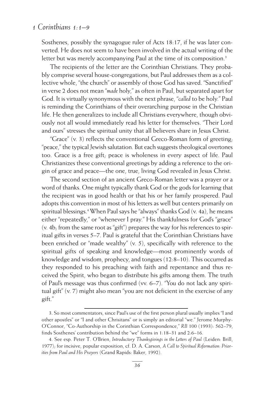Sosthenes, possibly the synagogue ruler of Acts 18:17, if he was later converted. He does not seem to have been involved in the actual writing of the letter but was merely accompanying Paul at the time of its composition.<sup>3</sup>

The recipients of the letter are the Corinthian Christians. They probably comprise several house-congregations, but Paul addresses them as a collective whole, "the church" or assembly of those God has saved. "Sanctified" in verse 2 does not mean "*made* holy," as often in Paul, but separated apart for God. It is virtually synonymous with the next phrase, "*called* to be holy." Paul is reminding the Corinthians of their overarching purpose in the Christian life. He then generalizes to include all Christians everywhere, though obviously not all would immediately read his letter for themselves. "Their Lord and ours" stresses the spiritual unity that all believers share in Jesus Christ.

"Grace" (v. 3) reflects the conventional Greco-Roman form of greeting; "peace," the typical Jewish salutation. But each suggests theological overtones too. Grace is a free gift; peace is wholeness in every aspect of life. Paul Christianizes these conventional greetings by adding a reference to the origin of grace and peace—the one, true, living God revealed in Jesus Christ.

The second section of an ancient Greco-Roman letter was a prayer or a word of thanks. One might typically thank God or the gods for learning that the recipient was in good health or that his or her family prospered. Paul adopts this convention in most of his letters as well but centers primarily on spiritual blessings. 4When Paul says he "always" thanks God (v. 4a), he means either "repeatedly," or "whenever I pray." His thankfulness for God's "grace"  $(v. 4b)$ ; from the same root as "gift") prepares the way for his references to spiritual gifts in verses 5–7. Paul is grateful that the Corinthian Christians have been enriched or "made wealthy" (v. 5), specifically with reference to the spiritual gifts of speaking and knowledge—most prominently words of knowledge and wisdom, prophecy, and tongues (12:8–10). This occurred as they responded to his preaching with faith and repentance and thus received the Spirit, who began to distribute his gifts among them. The truth of Paul's message was thus confirmed (vv. 6–7). "You do not lack any spiritual gift" (v. 7) might also mean "you are not deficient in the exercise of any gift."

<sup>3.</sup> So most commentators, since Paul's use of the first person plural usually implies "I and other apostles" or "I and other Chrisitans" or is simply an editorial "we." Jerome Murphy-O'Connor, "Co-Authorship in the Corinthian Correspondence," *RB* 100 (1993): 562–79, finds Sosthenes' contribution behind the "we" forms in 1:18–31 and 2:6–16.

<sup>4.</sup> See esp. Peter T. O'Brien, *Introductory Thanksgivings in the Letters of Paul* (Leiden: Brill, 1977); for incisive, popular exposition, cf. D. A. Carson, *A Call to Spiritual Reformation: Priorities from Paul and His Prayers* (Grand Rapids: Baker, 1992).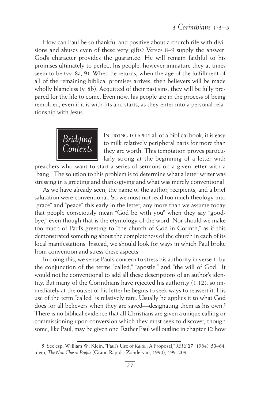How can Paul be so thankful and positive about a church rife with divisions and abuses even of these very gifts? Verses 8–9 supply the answer: God's character provides the guarantee. He will remain faithful to his promises ultimately to perfect his people, however immature they at times seem to be (vv. 8a, 9). When he returns, when the age of the fulfillment of all of the remaining biblical promises arrives, then believers will be made wholly blameless (v. 8b). Acquitted of their past sins, they will be fully prepared for the life to come. Even now, his people are in the process of being remolded, even if it is with fits and starts, as they enter into a personal relationship with Jesus.



IN TRYING TO APPLY all of a biblical book, it is easy to milk relatively peripheral parts for more than they are worth. This temptation proves particularly strong at the beginning of a letter with

preachers who want to start a series of sermons on a given letter with a "bang." The solution to this problem is to determine what a letter writer was stressing in a greeting and thanksgiving and what was merely conventional.

As we have already seen, the name of the author, recipients, and a brief salutation were conventional. So we must not read too much theology into "grace" and "peace" this early in the letter, any more than we assume today that people consciously mean "God be with you" when they say "goodbye," even though that is the etymology of the word. Nor should we make too much of Paul's greeting to "the church of God in Corinth," as if this demonstrated something about the completeness of the church in each of its local manifestations. Instead, we should look for ways in which Paul broke from convention and stress these aspects.

In doing this, we sense Paul's concern to stress his authority in verse 1, by the conjunction of the terms "called," "apostle," and "the will of God." It would not be conventional to add all these descriptions of an author's identity. But many of the Corinthians have rejected his authority (1:12), so immediately at the outset of his letter he begins to seek ways to reassert it. His use of the term "called" is relatively rare. Usually he applies it to what God does for all believers when they are saved—designating them as his own.<sup>5</sup> There is no biblical evidence that all Christians are given a unique calling or commissioning upon conversion which they must seek to discover, though some, like Paul, may be given one. Rather Paul will outline in chapter 12 how

<sup>5.</sup> See esp. William W. Klein, "Paul's Use of *Kalein*: A Proposal," *JETS* 27 (1984): 53–64; idem, *The New Chosen People* (Grand Rapids: Zondervan, 1990), 199–209.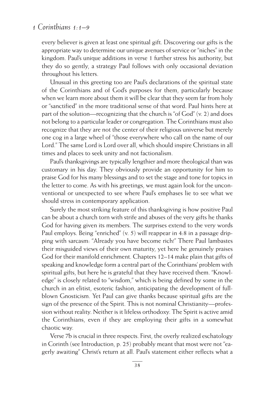every believer is given at least one spiritual gift. Discovering our gifts is the appropriate way to determine our unique avenues of service or "niches" in the kingdom. Paul's unique additions in verse 1 further stress his authority, but they do so gently, a strategy Paul follows with only occasional deviation throughout his letters.

Unusual in this greeting too are Paul's declarations of the spiritual state of the Corinthians and of God's purposes for them, particularly because when we learn more about them it will be clear that they seem far from holy or "sanctified" in the more traditional sense of that word. Paul hints here at part of the solution—recognizing that the church is "of God" (v. 2) and does not belong to a particular leader or congregation. The Corinthians must also recognize that they are not the center of their religious universe but merely one cog in a large wheel of "those everywhere who call on the name of our Lord." The same Lord is Lord over all, which should inspire Christians in all times and places to seek unity and not factionalism.

Paul's thanksgivings are typically lengthier and more theological than was customary in his day. They obviously provide an opportunity for him to praise God for his many blessings and to set the stage and tone for topics in the letter to come. As with his greetings, we must again look for the unconventional or unexpected to see where Paul's emphases lie to see what we should stress in contemporary application.

Surely the most striking feature of this thanksgiving is how positive Paul can be about a church torn with strife and abuses of the very gifts he thanks God for having given its members. The surprises extend to the very words Paul employs. Being "enriched" (v. 5) will reappear in 4:8 in a passage dripping with sarcasm: "Already you have become rich!" There Paul lambastes their misguided views of their own maturity, yet here he genuinely praises God for their manifold enrichment. Chapters 12–14 make plain that gifts of speaking and knowledge form a central part of the Corinthians' problem with spiritual gifts, but here he is grateful that they have received them. "Knowledge" is closely related to "wisdom," which is being defined by some in the church in an elitist, esoteric fashion, anticipating the development of fullblown Gnosticism. Yet Paul can give thanks because spiritual gifts are the sign of the presence of the Spirit. This is not nominal Christianity—profession without reality. Neither is it lifeless orthodoxy. The Spirit is active amid the Corinthians, even if they are employing their gifts in a somewhat chaotic way.

Verse 7b is crucial in three respects. First, the overly realized eschatology in Corinth (see Introduction, p. 25) probably meant that most were not "eagerly awaiting" Christ's return at all. Paul's statement either reflects what a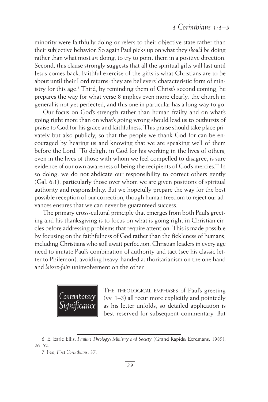minority were faithfully doing or refers to their objective state rather than their subjective behavior. So again Paul picks up on what they *should* be doing rather than what most *are* doing, to try to point them in a positive direction. Second, this clause strongly suggests that all the spiritual gifts will last until Jesus comes back. Faithful exercise of the gifts is what Christians are to be about until their Lord returns; they are believers' characteristic form of ministry for this age. <sup>6</sup> Third, by reminding them of Christ's second coming, he prepares the way for what verse 8 implies even more clearly: the church in general is not yet perfected, and this one in particular has a long way to go.

Our focus on God's strength rather than human frailty and on what's going right more than on what's going wrong should lead us to outbursts of praise to God for his grace and faithfulness. This praise should take place privately but also publicly, so that the people we thank God for can be encouraged by hearing us and knowing that we are speaking well of them before the Lord. "To delight in God for his working in the lives of others, even in the lives of those with whom we feel compelled to disagree, is sure evidence of our own awareness of being the recipients of God's mercies." <sup>7</sup> In so doing, we do not abdicate our responsibility to correct others gently (Gal. 6:1), particularly those over whom we are given positions of spiritual authority and responsibility. But we hopefully prepare the way for the best possible reception of our correction, though human freedom to reject our advances ensures that we can never be guaranteed success.

The primary cross-cultural principle that emerges from both Paul's greeting and his thanksgiving is to focus on what is going right in Christian circles before addressing problems that require attention. This is made possible by focusing on the faithfulness of God rather than the fickleness of humans, including Christians who still await perfection. Christian leaders in every age need to imitate Paul's combination of authority and tact (see his classic letter to Philemon), avoiding heavy-handed authoritarianism on the one hand and *laissez-faire* uninvolvement on the other.



THE THEOLOGICAL EMPHASES of Paul's greeting (vv. 1–3) all recur more explicitly and pointedly as his letter unfolds, so detailed application is best reserved for subsequent commentary. But

<sup>6.</sup> E. Earle Ellis, *Pauline Theology: Ministry and Society* (Grand Rapids: Eerdmans, 1989), 26–52.

<sup>7.</sup> Fee, *First Corinthians*, 37.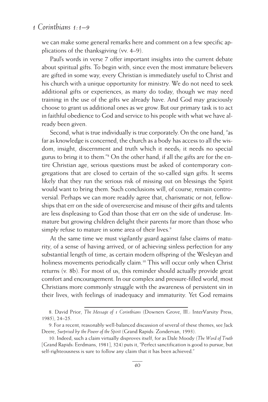we can make some general remarks here and comment on a few specific applications of the thanksgiving (vv. 4–9).

Paul's words in verse 7 offer important insights into the current debate about spiritual gifts. To begin with, since even the most immature believers are gifted in some way, every Christian is immediately useful to Christ and his church with a unique opportunity for ministry. We do not need to seek additional gifts or experiences, as many do today, though we may need training in the use of the gifts we already have. And God may graciously choose to grant us additional ones as we grow. But our primary task is to act in faithful obedience to God and service to his people with what we have already been given.

Second, what is true individually is true corporately. On the one hand, "as far as knowledge is concerned, the church as a body has access to all the wisdom, insight, discernment and truth which it needs; it needs no special gurus to bring it to them." <sup>8</sup> On the other hand, if all the gifts are for the entire Christian age, serious questions must be asked of contemporary congregations that are closed to certain of the so-called sign gifts. It seems likely that they run the serious risk of missing out on blessings the Spirit would want to bring them. Such conclusions will, of course, remain controversial. Perhaps we can more readily agree that, charismatic or not, fellowships that err on the side of overexercise and misuse of their gifts and talents are less displeasing to God than those that err on the side of underuse. Immature but growing children delight their parents far more than those who simply refuse to mature in some area of their lives.<sup>9</sup>

At the same time we must vigilantly guard against false claims of maturity, of a sense of having arrived, or of achieving sinless perfection for any substantial length of time, as certain modern offspring of the Wesleyan and holiness movements periodically claim. <sup>10</sup> This will occur only when Christ returns (v. 8b). For most of us, this reminder should actually provide great comfort and encouragement. In our complex and pressure-filled world, most Christians more commonly struggle with the awareness of persistent sin in their lives, with feelings of inadequacy and immaturity. Yet God remains

<sup>8.</sup> David Prior, *The Message of 1 Corinthians* (Downers Grove, Ill.: InterVarsity Press, 1985), 24–25.

<sup>9.</sup> For a recent, reasonably well-balanced discussion of several of these themes, see Jack Deere, *Surprised by the Power of the Spirit* (Grand Rapids: Zondervan, 1993).

<sup>10.</sup> Indeed, such a claim virtually disproves itself, for as Dale Moody (*The Word of Truth* [Grand Rapids: Eerdmans, 1981], 324) puts it, "Perfect sanctification is good to pursue, but self-righteousness is sure to follow any claim that it has been achieved."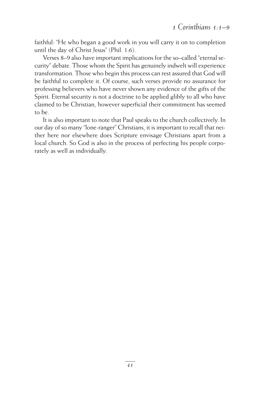faithful: "He who began a good work in you will carry it on to completion until the day of Christ Jesus" (Phil. 1:6).

Verses 8–9 also have important implications for the so–called "eternal security" debate. Those whom the Spirit has genuinely indwelt will experience transformation. Those who begin this process can rest assured that God will be faithful to complete it. Of course, such verses provide no assurance for professing believers who have never shown any evidence of the gifts of the Spirit. Eternal security is not a doctrine to be applied glibly to all who have claimed to be Christian, however superficial their commitment has seemed to be.

It is also important to note that Paul speaks to the church collectively. In our day of so many "lone-ranger" Christians, it is important to recall that neither here nor elsewhere does Scripture envisage Christians apart from a local church. So God is also in the process of perfecting his people corporately as well as individually.